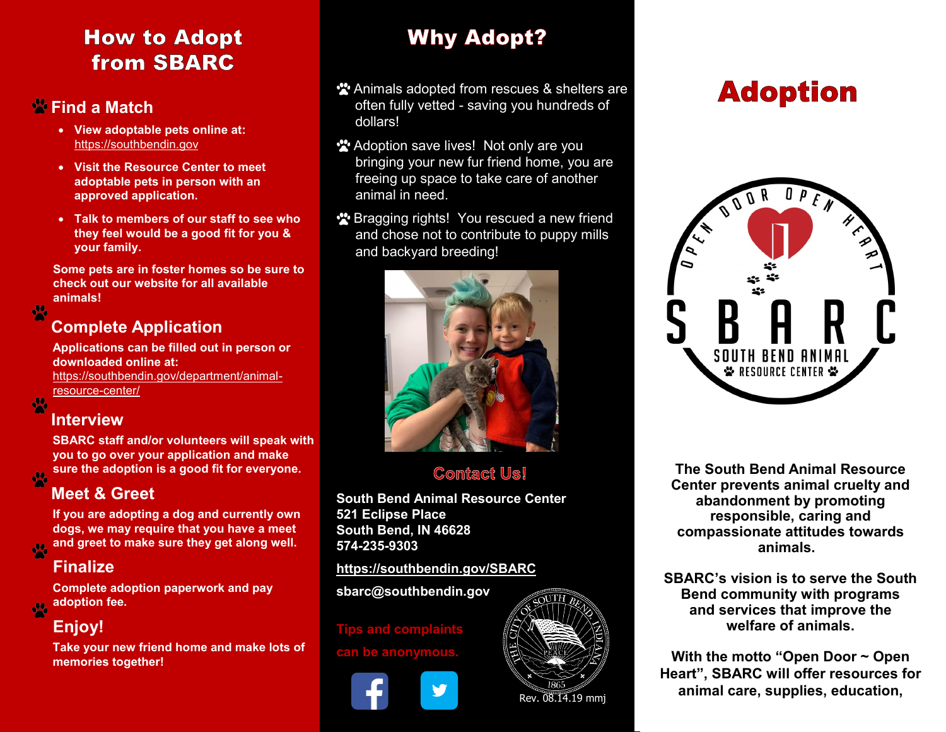## **How to Adopt from SBARC**

### **Find a Match**

- **View adoptable pets online at:** [https://southbendin.gov](https://southbendin.gov/resident-resources/pet-adoption/#dogs)
- **Visit the Resource Center to meet adoptable pets in person with an approved application.**
- **Talk to members of our staff to see who they feel would be a good fit for you & your family.**

**Some pets are in foster homes so be sure to check out our website for all available animals!**

### **Complete Application**

**Applications can be filled out in person or downloaded online at:**  [https://southbendin.gov/department/animal](https://southbendin.gov/department/animal-resource-center/)[resource](https://southbendin.gov/department/animal-resource-center/)-center/

### **Interview**

 $\frac{1}{2}$ 

 $\frac{1}{2}$ 

 $\frac{1}{2}$ 

**SBARC staff and/or volunteers will speak with you to go over your application and make sure the adoption is a good fit for everyone.**

### **Meet & Greet**

**If you are adopting a dog and currently own dogs, we may require that you have a meet and greet to make sure they get along well.**   $\frac{1}{2}$ 

### **Finalize**

**Complete adoption paperwork and pay adoption fee.** 

# **Enjoy!**

**Take your new friend home and make lots of memories together!**

# **Why Adopt?**

- \*\* Animals adopted from rescues & shelters are often fully vetted - saving you hundreds of dollars!
- \*\* Adoption save lives! Not only are you bringing your new fur friend home, you are freeing up space to take care of another animal in need.
- **\*** Bragging rights! You rescued a new friend and chose not to contribute to puppy mills and backyard breeding!



### **Contact Us!**

**South Bend Animal Resource Center 521 Eclipse Place South Bend, IN 46628 574-235-9303**

#### **<https://southbendin.gov/SBARC>**

**sbarc@southbendin.gov**

#### **Tips and complaints**

**be anonymo** 



# **Adoption**



**The South Bend Animal Resource Center prevents animal cruelty and abandonment by promoting responsible, caring and compassionate attitudes towards animals.** 

and services that improve the **SBARC's vision is to serve the South Bend community with programs welfare of animals.**

**With the motto "Open Door ~ Open Heart", SBARC will offer resources for animal care, supplies, education,**  $\overline{\text{Rev. 08.14.19 mm}}$